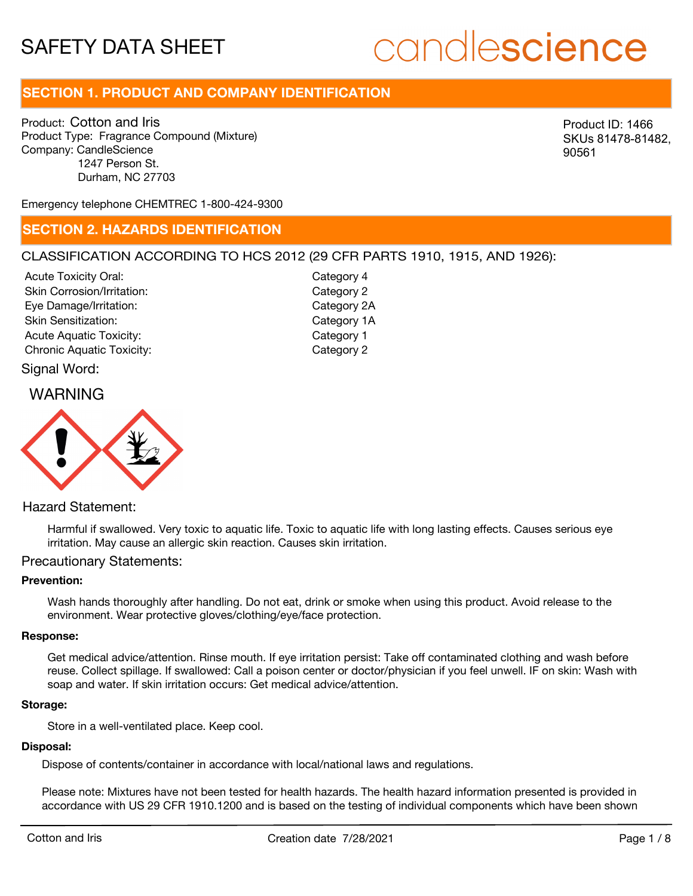# candlescience

# **SECTION 1. PRODUCT AND COMPANY IDENTIFICATION**

Product: Cotton and Iris Product Type: Fragrance Compound (Mixture) Company: CandleScience 1247 Person St. Durham, NC 27703

Product ID: 1466 SKUs 81478-81482, 90561

Emergency telephone CHEMTREC 1-800-424-9300

### **SECTION 2. HAZARDS IDENTIFICATION**

### CLASSIFICATION ACCORDING TO HCS 2012 (29 CFR PARTS 1910, 1915, AND 1926):

Acute Toxicity Oral: Skin Corrosion/Irritation: Eye Damage/Irritation: Skin Sensitization: Acute Aquatic Toxicity: Notice Aquatic Toxicity: Chronic Aquatic Toxicity: Chronic Aquatic Toxicity:

Category 4 Category 2 Category 2A Category 1A

### Signal Word:

### WARNING



### Hazard Statement:

Harmful if swallowed. Very toxic to aquatic life. Toxic to aquatic life with long lasting effects. Causes serious eye irritation. May cause an allergic skin reaction. Causes skin irritation.

### Precautionary Statements:

### **Prevention:**

Wash hands thoroughly after handling. Do not eat, drink or smoke when using this product. Avoid release to the environment. Wear protective gloves/clothing/eye/face protection.

#### **Response:**

Get medical advice/attention. Rinse mouth. If eye irritation persist: Take off contaminated clothing and wash before reuse. Collect spillage. If swallowed: Call a poison center or doctor/physician if you feel unwell. IF on skin: Wash with soap and water. If skin irritation occurs: Get medical advice/attention.

#### **Storage:**

Store in a well-ventilated place. Keep cool.

### **Disposal:**

Dispose of contents/container in accordance with local/national laws and regulations.

Please note: Mixtures have not been tested for health hazards. The health hazard information presented is provided in accordance with US 29 CFR 1910.1200 and is based on the testing of individual components which have been shown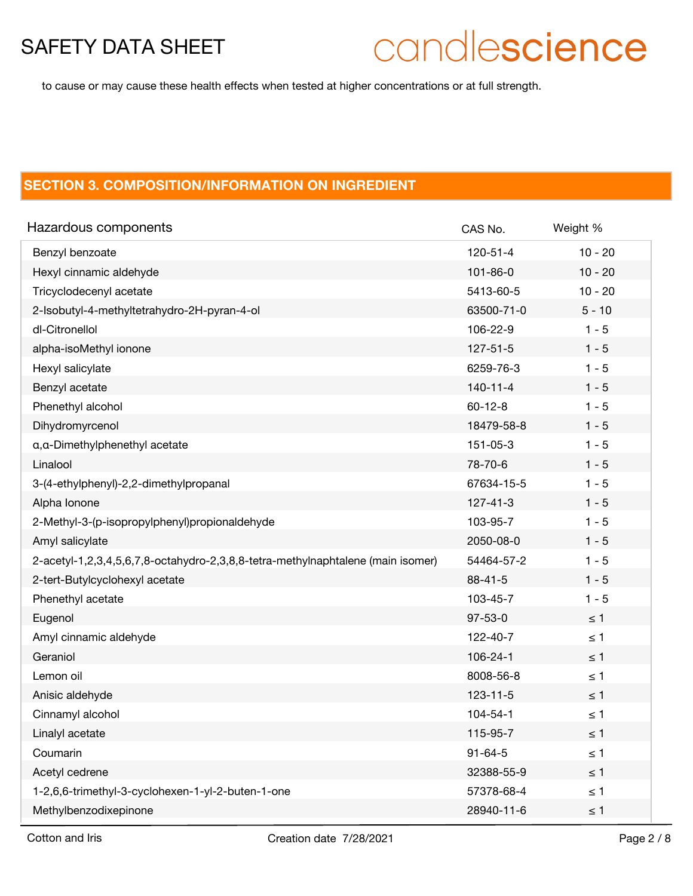# candlescience

to cause or may cause these health effects when tested at higher concentrations or at full strength.

# **SECTION 3. COMPOSITION/INFORMATION ON INGREDIENT**

| Hazardous components                                                            | CAS No.        | Weight %  |
|---------------------------------------------------------------------------------|----------------|-----------|
| Benzyl benzoate                                                                 | 120-51-4       | $10 - 20$ |
| Hexyl cinnamic aldehyde                                                         | $101 - 86 - 0$ | $10 - 20$ |
| Tricyclodecenyl acetate                                                         | 5413-60-5      | $10 - 20$ |
| 2-Isobutyl-4-methyltetrahydro-2H-pyran-4-ol                                     | 63500-71-0     | $5 - 10$  |
| dl-Citronellol                                                                  | 106-22-9       | $1 - 5$   |
| alpha-isoMethyl ionone                                                          | $127 - 51 - 5$ | $1 - 5$   |
| Hexyl salicylate                                                                | 6259-76-3      | $1 - 5$   |
| Benzyl acetate                                                                  | $140 - 11 - 4$ | $1 - 5$   |
| Phenethyl alcohol                                                               | $60 - 12 - 8$  | $1 - 5$   |
| Dihydromyrcenol                                                                 | 18479-58-8     | $1 - 5$   |
| a, a-Dimethylphenethyl acetate                                                  | 151-05-3       | $1 - 5$   |
| Linalool                                                                        | 78-70-6        | $1 - 5$   |
| 3-(4-ethylphenyl)-2,2-dimethylpropanal                                          | 67634-15-5     | $1 - 5$   |
| Alpha Ionone                                                                    | $127 - 41 - 3$ | $1 - 5$   |
| 2-Methyl-3-(p-isopropylphenyl)propionaldehyde                                   | 103-95-7       | $1 - 5$   |
| Amyl salicylate                                                                 | 2050-08-0      | $1 - 5$   |
| 2-acetyl-1,2,3,4,5,6,7,8-octahydro-2,3,8,8-tetra-methylnaphtalene (main isomer) | 54464-57-2     | $1 - 5$   |
| 2-tert-Butylcyclohexyl acetate                                                  | $88 - 41 - 5$  | $1 - 5$   |
| Phenethyl acetate                                                               | 103-45-7       | $1 - 5$   |
| Eugenol                                                                         | $97 - 53 - 0$  | $\leq 1$  |
| Amyl cinnamic aldehyde                                                          | 122-40-7       | $\leq 1$  |
| Geraniol                                                                        | 106-24-1       | $\leq 1$  |
| Lemon oil                                                                       | 8008-56-8      | $\leq 1$  |
| Anisic aldehyde                                                                 | $123 - 11 - 5$ | $\leq 1$  |
| Cinnamyl alcohol                                                                | 104-54-1       | $\leq 1$  |
| Linalyl acetate                                                                 | 115-95-7       | $\leq 1$  |
| Coumarin                                                                        | $91 - 64 - 5$  | $\leq 1$  |
| Acetyl cedrene                                                                  | 32388-55-9     | $\leq 1$  |
| 1-2,6,6-trimethyl-3-cyclohexen-1-yl-2-buten-1-one                               | 57378-68-4     | $\leq 1$  |
| Methylbenzodixepinone                                                           | 28940-11-6     | $\leq 1$  |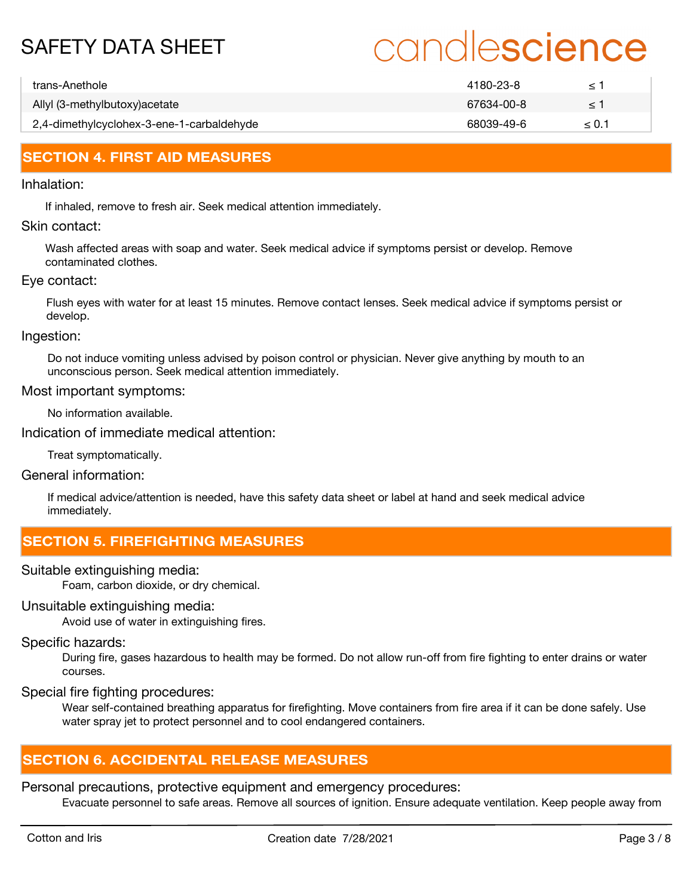# candlescience

| trans-Anethole                            | 4180-23-8  |            |
|-------------------------------------------|------------|------------|
| Allyl (3-methylbutoxy) acetate            | 67634-00-8 |            |
| 2,4-dimethylcyclohex-3-ene-1-carbaldehyde | 68039-49-6 | $\leq 0.1$ |

# **SECTION 4. FIRST AID MEASURES**

### Inhalation:

If inhaled, remove to fresh air. Seek medical attention immediately.

### Skin contact:

Wash affected areas with soap and water. Seek medical advice if symptoms persist or develop. Remove contaminated clothes.

### Eye contact:

Flush eyes with water for at least 15 minutes. Remove contact lenses. Seek medical advice if symptoms persist or develop.

Ingestion:

Do not induce vomiting unless advised by poison control or physician. Never give anything by mouth to an unconscious person. Seek medical attention immediately.

### Most important symptoms:

No information available.

Indication of immediate medical attention:

Treat symptomatically.

### General information:

If medical advice/attention is needed, have this safety data sheet or label at hand and seek medical advice immediately.

## **SECTION 5. FIREFIGHTING MEASURES**

Suitable extinguishing media:

Foam, carbon dioxide, or dry chemical.

### Unsuitable extinguishing media:

Avoid use of water in extinguishing fires.

### Specific hazards:

During fire, gases hazardous to health may be formed. Do not allow run-off from fire fighting to enter drains or water courses.

Special fire fighting procedures:

Wear self-contained breathing apparatus for firefighting. Move containers from fire area if it can be done safely. Use water spray jet to protect personnel and to cool endangered containers.

## **SECTION 6. ACCIDENTAL RELEASE MEASURES**

Personal precautions, protective equipment and emergency procedures:

Evacuate personnel to safe areas. Remove all sources of ignition. Ensure adequate ventilation. Keep people away from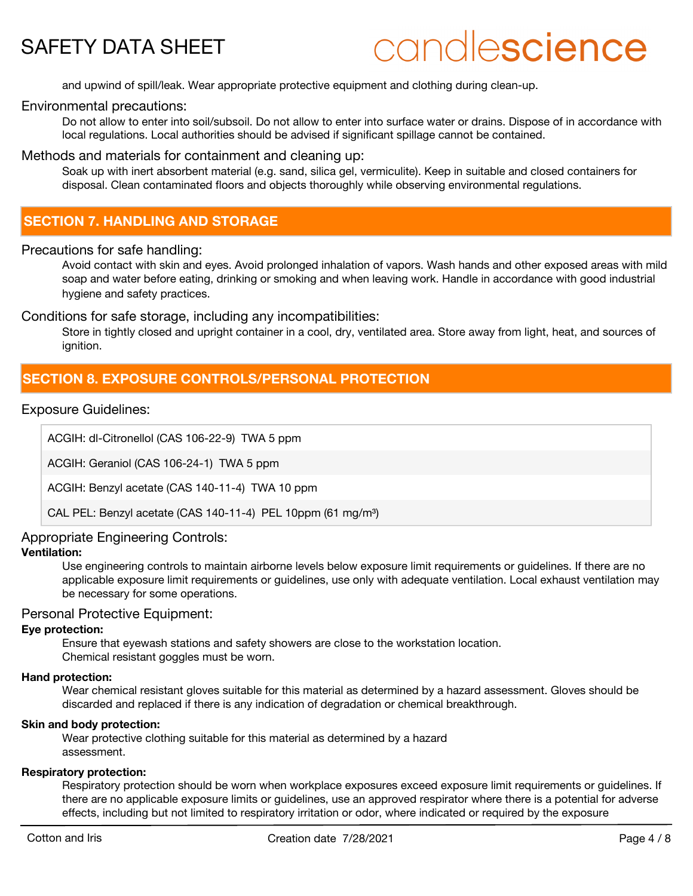# candlescience

and upwind of spill/leak. Wear appropriate protective equipment and clothing during clean-up.

### Environmental precautions:

Do not allow to enter into soil/subsoil. Do not allow to enter into surface water or drains. Dispose of in accordance with local regulations. Local authorities should be advised if significant spillage cannot be contained.

### Methods and materials for containment and cleaning up:

Soak up with inert absorbent material (e.g. sand, silica gel, vermiculite). Keep in suitable and closed containers for disposal. Clean contaminated floors and objects thoroughly while observing environmental regulations.

## **SECTION 7. HANDLING AND STORAGE**

### Precautions for safe handling:

Avoid contact with skin and eyes. Avoid prolonged inhalation of vapors. Wash hands and other exposed areas with mild soap and water before eating, drinking or smoking and when leaving work. Handle in accordance with good industrial hygiene and safety practices.

### Conditions for safe storage, including any incompatibilities:

Store in tightly closed and upright container in a cool, dry, ventilated area. Store away from light, heat, and sources of ianition.

# **SECTION 8. EXPOSURE CONTROLS/PERSONAL PROTECTION**

### Exposure Guidelines:

ACGIH: dl-Citronellol (CAS 106-22-9) TWA 5 ppm

ACGIH: Geraniol (CAS 106-24-1) TWA 5 ppm

ACGIH: Benzyl acetate (CAS 140-11-4) TWA 10 ppm

CAL PEL: Benzyl acetate (CAS 140-11-4) PEL 10ppm (61 mg/m<sup>3</sup>)

### Appropriate Engineering Controls:

### **Ventilation:**

Use engineering controls to maintain airborne levels below exposure limit requirements or guidelines. If there are no applicable exposure limit requirements or guidelines, use only with adequate ventilation. Local exhaust ventilation may be necessary for some operations.

### Personal Protective Equipment:

### **Eye protection:**

Ensure that eyewash stations and safety showers are close to the workstation location. Chemical resistant goggles must be worn.

### **Hand protection:**

Wear chemical resistant gloves suitable for this material as determined by a hazard assessment. Gloves should be discarded and replaced if there is any indication of degradation or chemical breakthrough.

### **Skin and body protection:**

Wear protective clothing suitable for this material as determined by a hazard assessment.

### **Respiratory protection:**

Respiratory protection should be worn when workplace exposures exceed exposure limit requirements or guidelines. If there are no applicable exposure limits or guidelines, use an approved respirator where there is a potential for adverse effects, including but not limited to respiratory irritation or odor, where indicated or required by the exposure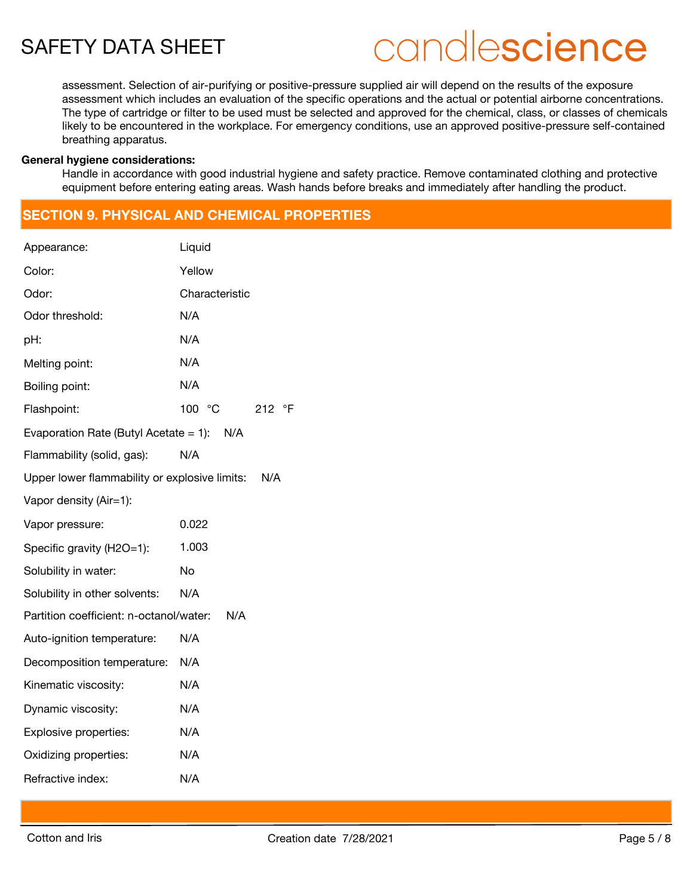# candlescience

assessment. Selection of air-purifying or positive-pressure supplied air will depend on the results of the exposure assessment which includes an evaluation of the specific operations and the actual or potential airborne concentrations. The type of cartridge or filter to be used must be selected and approved for the chemical, class, or classes of chemicals likely to be encountered in the workplace. For emergency conditions, use an approved positive-pressure self-contained breathing apparatus.

#### **General hygiene considerations:**

Handle in accordance with good industrial hygiene and safety practice. Remove contaminated clothing and protective equipment before entering eating areas. Wash hands before breaks and immediately after handling the product.

## **SECTION 9. PHYSICAL AND CHEMICAL PROPERTIES**

| Appearance:                                   | Liquid           |
|-----------------------------------------------|------------------|
| Color:                                        | Yellow           |
| Odor:                                         | Characteristic   |
| Odor threshold:                               | N/A              |
| pH:                                           | N/A              |
| Melting point:                                | N/A              |
| Boiling point:                                | N/A              |
| Flashpoint:                                   | 100 °C<br>212 °F |
| Evaporation Rate (Butyl Acetate = 1): $N/A$   |                  |
| Flammability (solid, gas):                    | N/A              |
| Upper lower flammability or explosive limits: | N/A              |
| Vapor density (Air=1):                        |                  |
| Vapor pressure:                               | 0.022            |
| Specific gravity (H2O=1):                     | 1.003            |
| Solubility in water:                          | No               |
| Solubility in other solvents:                 | N/A              |
| Partition coefficient: n-octanol/water:       | N/A              |
| Auto-ignition temperature:                    | N/A              |
| Decomposition temperature: N/A                |                  |
| Kinematic viscosity:                          | N/A              |
| Dynamic viscosity:                            | N/A              |
| Explosive properties:                         | N/A              |
| Oxidizing properties:                         | N/A              |
| Refractive index:                             | N/A              |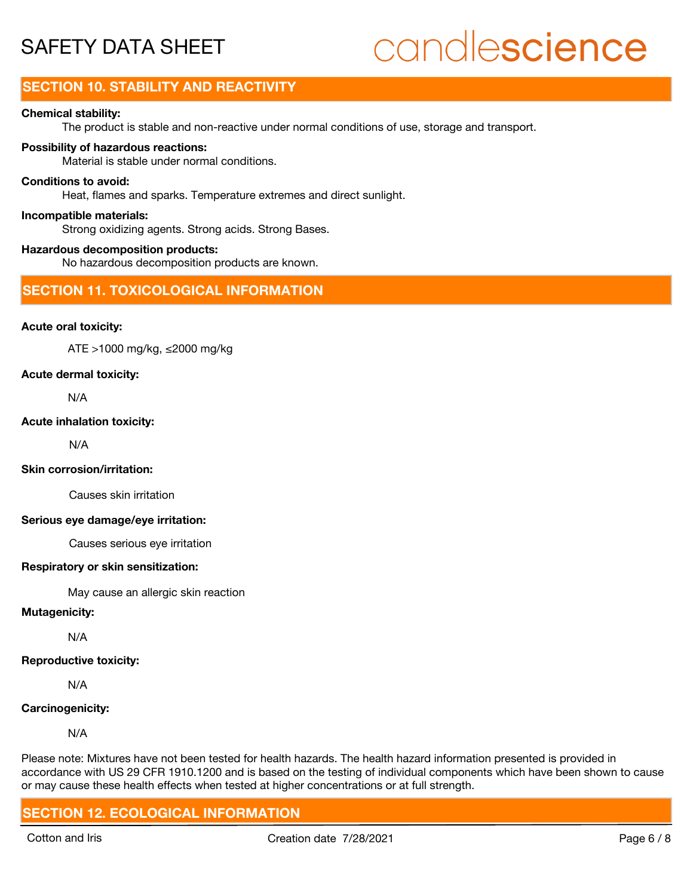# candlescience

# **SECTION 10. STABILITY AND REACTIVITY**

### **Chemical stability:**

The product is stable and non-reactive under normal conditions of use, storage and transport.

### **Possibility of hazardous reactions:**

Material is stable under normal conditions.

### **Conditions to avoid:**

Heat, flames and sparks. Temperature extremes and direct sunlight.

#### **Incompatible materials:**

Strong oxidizing agents. Strong acids. Strong Bases.

### **Hazardous decomposition products:**

No hazardous decomposition products are known.

### **SECTION 11. TOXICOLOGICAL INFORMATION**

### **Acute oral toxicity:**

ATE >1000 mg/kg, ≤2000 mg/kg

### **Acute dermal toxicity:**

N/A

#### **Acute inhalation toxicity:**

N/A

### **Skin corrosion/irritation:**

Causes skin irritation

### **Serious eye damage/eye irritation:**

Causes serious eye irritation

#### **Respiratory or skin sensitization:**

May cause an allergic skin reaction

### **Mutagenicity:**

N/A

### **Reproductive toxicity:**

N/A

### **Carcinogenicity:**

N/A

Please note: Mixtures have not been tested for health hazards. The health hazard information presented is provided in accordance with US 29 CFR 1910.1200 and is based on the testing of individual components which have been shown to cause or may cause these health effects when tested at higher concentrations or at full strength.

### **SECTION 12. ECOLOGICAL INFORMATION**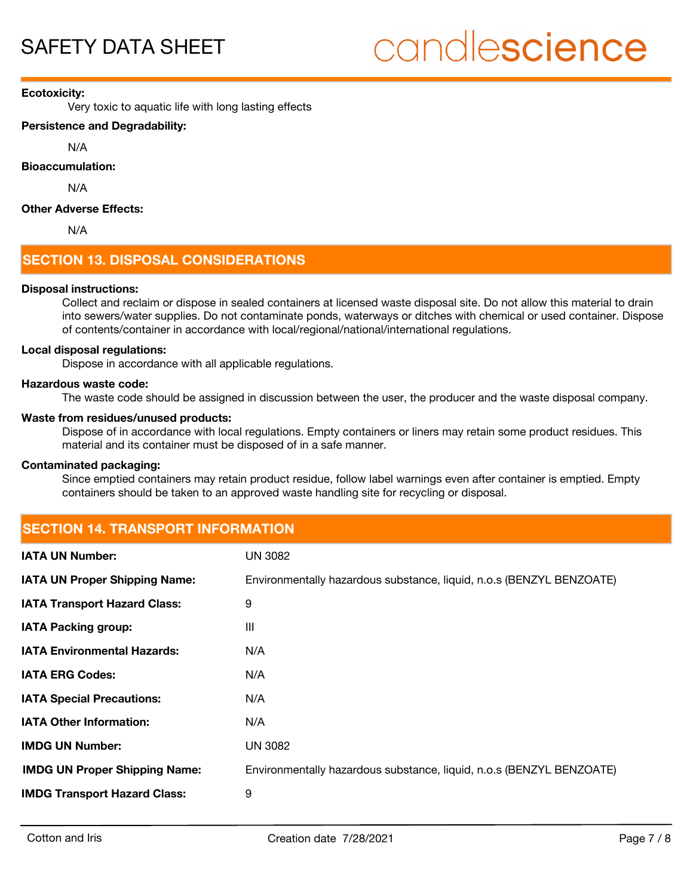### **Ecotoxicity:**

Very toxic to aquatic life with long lasting effects

### **Persistence and Degradability:**

N/A

**Bioaccumulation:**

N/A

### **Other Adverse Effects:**

N/A

# **SECTION 13. DISPOSAL CONSIDERATIONS**

### **Disposal instructions:**

Collect and reclaim or dispose in sealed containers at licensed waste disposal site. Do not allow this material to drain into sewers/water supplies. Do not contaminate ponds, waterways or ditches with chemical or used container. Dispose of contents/container in accordance with local/regional/national/international regulations.

### **Local disposal regulations:**

Dispose in accordance with all applicable regulations.

### **Hazardous waste code:**

The waste code should be assigned in discussion between the user, the producer and the waste disposal company.

### **Waste from residues/unused products:**

Dispose of in accordance with local regulations. Empty containers or liners may retain some product residues. This material and its container must be disposed of in a safe manner.

### **Contaminated packaging:**

Since emptied containers may retain product residue, follow label warnings even after container is emptied. Empty containers should be taken to an approved waste handling site for recycling or disposal.

## **SECTION 14. TRANSPORT INFORMATION**

| <b>IATA UN Number:</b>               | <b>UN 3082</b>                                                       |
|--------------------------------------|----------------------------------------------------------------------|
| <b>IATA UN Proper Shipping Name:</b> | Environmentally hazardous substance, liquid, n.o.s (BENZYL BENZOATE) |
| <b>IATA Transport Hazard Class:</b>  | 9                                                                    |
| <b>IATA Packing group:</b>           | Ш                                                                    |
| <b>IATA Environmental Hazards:</b>   | N/A                                                                  |
| <b>IATA ERG Codes:</b>               | N/A                                                                  |
| <b>IATA Special Precautions:</b>     | N/A                                                                  |
| <b>IATA Other Information:</b>       | N/A                                                                  |
| <b>IMDG UN Number:</b>               | <b>UN 3082</b>                                                       |
| <b>IMDG UN Proper Shipping Name:</b> | Environmentally hazardous substance, liquid, n.o.s (BENZYL BENZOATE) |
| <b>IMDG Transport Hazard Class:</b>  | 9                                                                    |